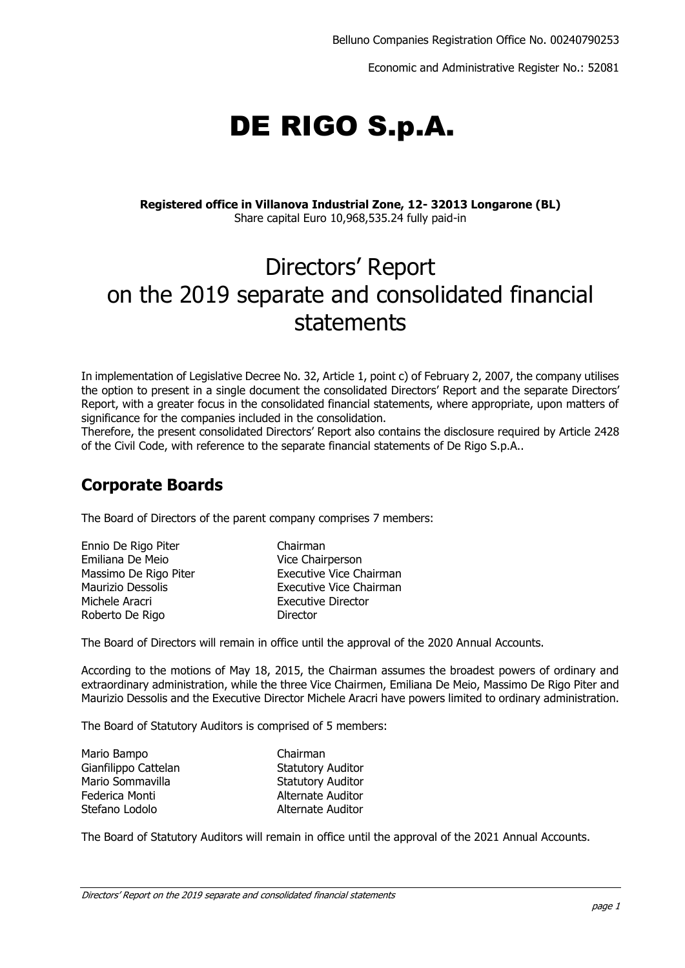Economic and Administrative Register No.: 52081

# DE RIGO S.p.A.

#### **Registered office in Villanova Industrial Zone, 12- 32013 Longarone (BL)** Share capital Euro 10,968,535.24 fully paid-in

# Directors' Report on the 2019 separate and consolidated financial statements

In implementation of Legislative Decree No. 32, Article 1, point c) of February 2, 2007, the company utilises the option to present in a single document the consolidated Directors' Report and the separate Directors' Report, with a greater focus in the consolidated financial statements, where appropriate, upon matters of significance for the companies included in the consolidation.

Therefore, the present consolidated Directors' Report also contains the disclosure required by Article 2428 of the Civil Code, with reference to the separate financial statements of De Rigo S.p.A..

# **Corporate Boards**

The Board of Directors of the parent company comprises 7 members:

Ennio De Rigo Piter Chairman Emiliana De Meio Vice Chairperson Michele Aracri **Executive Director** Roberto De Rigo **Director** 

Massimo De Rigo Piter **Executive Vice Chairman** Maurizio Dessolis Executive Vice Chairman

The Board of Directors will remain in office until the approval of the 2020 Annual Accounts.

According to the motions of May 18, 2015, the Chairman assumes the broadest powers of ordinary and extraordinary administration, while the three Vice Chairmen, Emiliana De Meio, Massimo De Rigo Piter and Maurizio Dessolis and the Executive Director Michele Aracri have powers limited to ordinary administration.

The Board of Statutory Auditors is comprised of 5 members:

| Mario Bampo          | Chairman                 |
|----------------------|--------------------------|
| Gianfilippo Cattelan | <b>Statutory Auditor</b> |
| Mario Sommavilla     | <b>Statutory Auditor</b> |
| Federica Monti       | Alternate Auditor        |
| Stefano Lodolo       | Alternate Auditor        |

The Board of Statutory Auditors will remain in office until the approval of the 2021 Annual Accounts.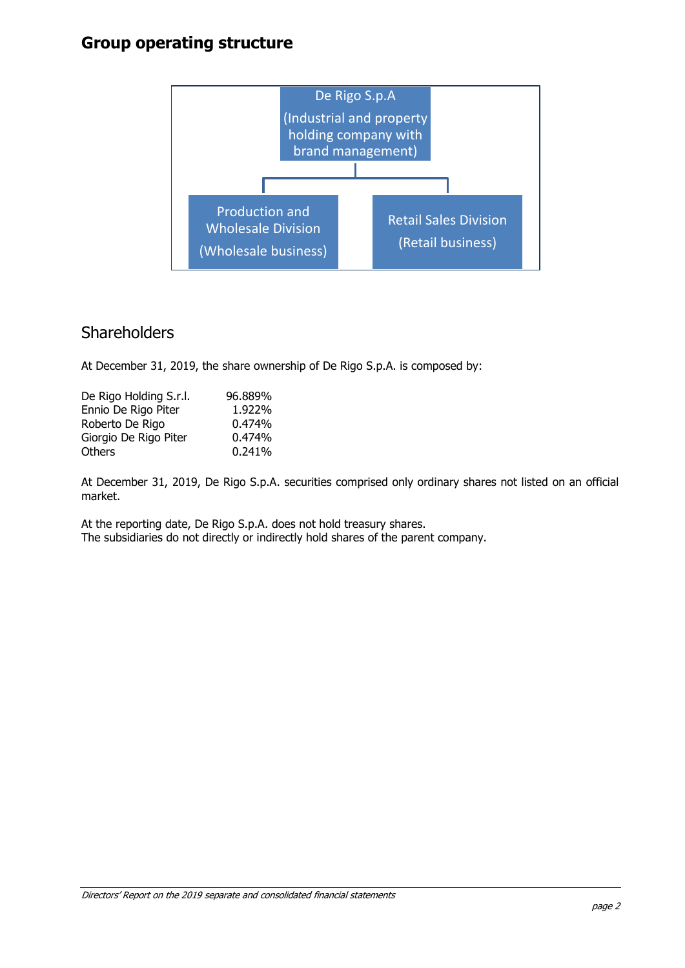# **Group operating structure**



# **Shareholders**

At December 31, 2019, the share ownership of De Rigo S.p.A. is composed by:

| De Rigo Holding S.r.l. | 96.889% |
|------------------------|---------|
| Ennio De Rigo Piter    | 1.922%  |
| Roberto De Rigo        | 0.474%  |
| Giorgio De Rigo Piter  | 0.474%  |
| Others                 | 0.241%  |

At December 31, 2019, De Rigo S.p.A. securities comprised only ordinary shares not listed on an official market.

At the reporting date, De Rigo S.p.A. does not hold treasury shares. The subsidiaries do not directly or indirectly hold shares of the parent company.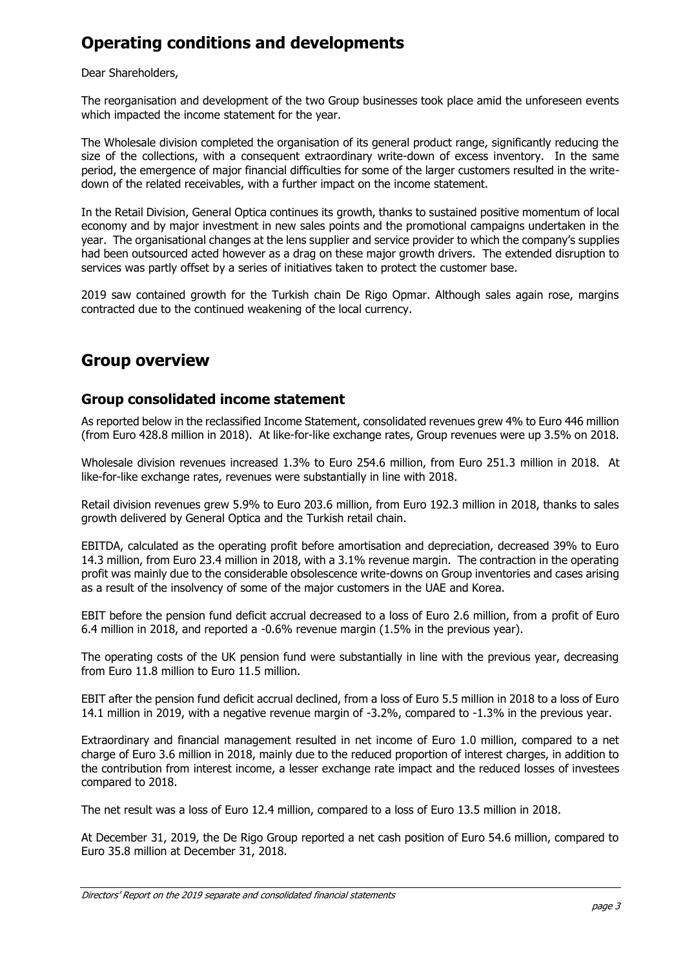# **Operating conditions and developments**

#### Dear Shareholders,

The reorganisation and development of the two Group businesses took place amid the unforeseen events which impacted the income statement for the year.

The Wholesale division completed the organisation of its general product range, significantly reducing the size of the collections, with a consequent extraordinary write-down of excess inventory. In the same period, the emergence of major financial difficulties for some of the larger customers resulted in the writedown of the related receivables, with a further impact on the income statement.

In the Retail Division, General Optica continues its growth, thanks to sustained positive momentum of local economy and by major investment in new sales points and the promotional campaigns undertaken in the year. The organisational changes at the lens supplier and service provider to which the company's supplies had been outsourced acted however as a drag on these major growth drivers. The extended disruption to services was partly offset by a series of initiatives taken to protect the customer base.

2019 saw contained growth for the Turkish chain De Rigo Opmar. Although sales again rose, margins contracted due to the continued weakening of the local currency.

# **Group overview**

### **Group consolidated income statement**

As reported below in the reclassified Income Statement, consolidated revenues grew 4% to Euro 446 million (from Euro 428.8 million in 2018). At like-for-like exchange rates, Group revenues were up 3.5% on 2018.

Wholesale division revenues increased 1.3% to Euro 254.6 million, from Euro 251.3 million in 2018. At like-for-like exchange rates, revenues were substantially in line with 2018.

Retail division revenues grew 5.9% to Euro 203.6 million, from Euro 192.3 million in 2018, thanks to sales growth delivered by General Optica and the Turkish retail chain.

EBITDA, calculated as the operating profit before amortisation and depreciation, decreased 39% to Euro 14.3 million, from Euro 23.4 million in 2018, with a 3.1% revenue margin. The contraction in the operating profit was mainly due to the considerable obsolescence write-downs on Group inventories and cases arising as a result of the insolvency of some of the major customers in the UAE and Korea.

EBIT before the pension fund deficit accrual decreased to a loss of Euro 2.6 million, from a profit of Euro 6.4 million in 2018, and reported a -0.6% revenue margin (1.5% in the previous year).

The operating costs of the UK pension fund were substantially in line with the previous year, decreasing from Euro 11.8 million to Euro 11.5 million.

EBIT after the pension fund deficit accrual declined, from a loss of Euro 5.5 million in 2018 to a loss of Euro 14.1 million in 2019, with a negative revenue margin of -3.2%, compared to -1.3% in the previous year.

Extraordinary and financial management resulted in net income of Euro 1.0 million, compared to a net charge of Euro 3.6 million in 2018, mainly due to the reduced proportion of interest charges, in addition to the contribution from interest income, a lesser exchange rate impact and the reduced losses of investees compared to 2018.

The net result was a loss of Euro 12.4 million, compared to a loss of Euro 13.5 million in 2018.

At December 31, 2019, the De Rigo Group reported a net cash position of Euro 54.6 million, compared to Euro 35.8 million at December 31, 2018.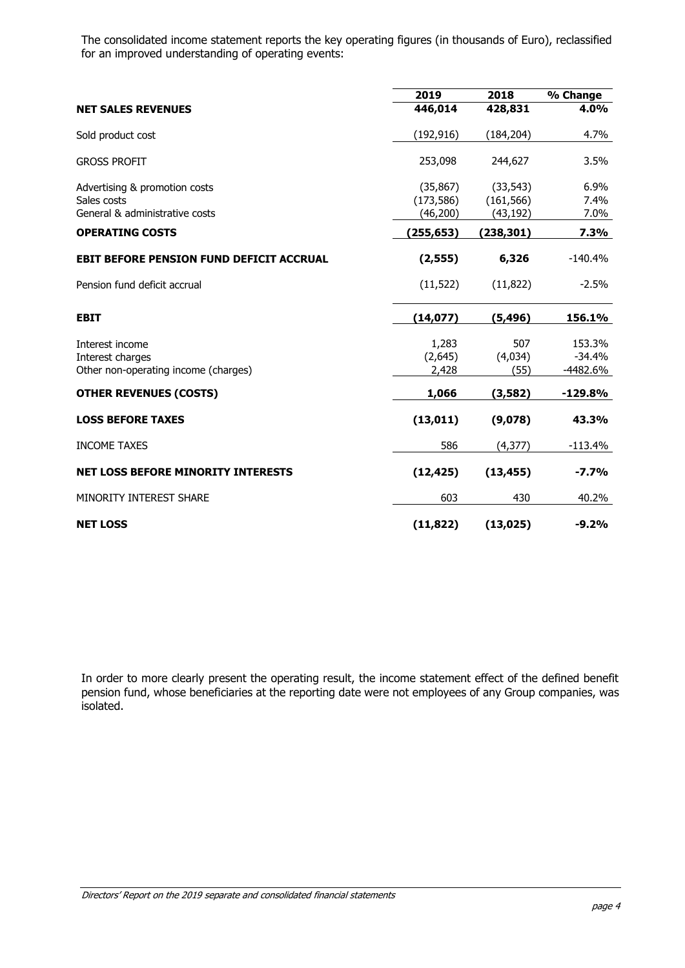The consolidated income statement reports the key operating figures (in thousands of Euro), reclassified for an improved understanding of operating events:

|                                                          | 2019                    | 2018                    | % Change             |
|----------------------------------------------------------|-------------------------|-------------------------|----------------------|
| <b>NET SALES REVENUES</b>                                | 446,014                 | 428,831                 | 4.0%                 |
| Sold product cost                                        | (192, 916)              | (184, 204)              | 4.7%                 |
| <b>GROSS PROFIT</b>                                      | 253,098                 | 244,627                 | 3.5%                 |
| Advertising & promotion costs                            | (35, 867)               | (33, 543)               | 6.9%                 |
| Sales costs<br>General & administrative costs            | (173, 586)<br>(46, 200) | (161, 566)<br>(43, 192) | 7.4%<br>7.0%         |
| <b>OPERATING COSTS</b>                                   | (255,653)               | (238, 301)              | 7.3%                 |
| <b>EBIT BEFORE PENSION FUND DEFICIT ACCRUAL</b>          | (2, 555)                | 6,326                   | $-140.4%$            |
| Pension fund deficit accrual                             | (11, 522)               | (11, 822)               | $-2.5%$              |
| <b>EBIT</b>                                              | (14, 077)               | (5, 496)                | 156.1%               |
| Interest income                                          | 1,283                   | 507                     | 153.3%               |
| Interest charges<br>Other non-operating income (charges) | (2,645)<br>2,428        | (4,034)<br>(55)         | $-34.4%$<br>-4482.6% |
| <b>OTHER REVENUES (COSTS)</b>                            | 1,066                   | (3,582)                 | $-129.8%$            |
| <b>LOSS BEFORE TAXES</b>                                 | (13, 011)               | (9,078)                 | 43.3%                |
| <b>INCOME TAXES</b>                                      | 586                     | (4, 377)                | $-113.4%$            |
| <b>NET LOSS BEFORE MINORITY INTERESTS</b>                | (12, 425)               | (13, 455)               | $-7.7%$              |
| MINORITY INTEREST SHARE                                  | 603                     | 430                     | 40.2%                |
| <b>NET LOSS</b>                                          | (11, 822)               | (13, 025)               | $-9.2%$              |

In order to more clearly present the operating result, the income statement effect of the defined benefit pension fund, whose beneficiaries at the reporting date were not employees of any Group companies, was isolated.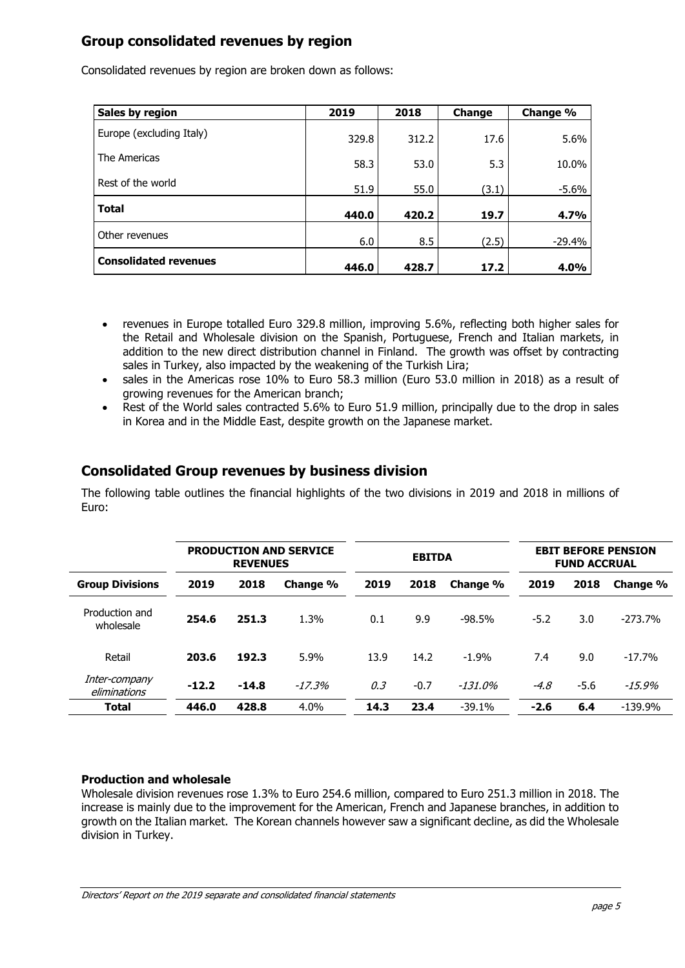## **Group consolidated revenues by region**

| Sales by region              | 2019  | 2018  | Change | Change % |
|------------------------------|-------|-------|--------|----------|
| Europe (excluding Italy)     | 329.8 | 312.2 | 17.6   | 5.6%     |
| The Americas                 | 58.3  | 53.0  | 5.3    | 10.0%    |
| Rest of the world            | 51.9  | 55.0  | (3.1)  | $-5.6%$  |
| <b>Total</b>                 | 440.0 | 420.2 | 19.7   | 4.7%     |
| Other revenues               | 6.0   | 8.5   | (2.5)  | $-29.4%$ |
| <b>Consolidated revenues</b> | 446.0 | 428.7 | 17.2   | 4.0%     |

Consolidated revenues by region are broken down as follows:

- revenues in Europe totalled Euro 329.8 million, improving 5.6%, reflecting both higher sales for the Retail and Wholesale division on the Spanish, Portuguese, French and Italian markets, in addition to the new direct distribution channel in Finland. The growth was offset by contracting sales in Turkey, also impacted by the weakening of the Turkish Lira;
- sales in the Americas rose 10% to Euro 58.3 million (Euro 53.0 million in 2018) as a result of growing revenues for the American branch;
- Rest of the World sales contracted 5.6% to Euro 51.9 million, principally due to the drop in sales in Korea and in the Middle East, despite growth on the Japanese market.

## **Consolidated Group revenues by business division**

The following table outlines the financial highlights of the two divisions in 2019 and 2018 in millions of Euro:

|                               |         | <b>REVENUES</b> | <b>PRODUCTION AND SERVICE</b> |      | <b>EBITDA</b> |           |        | <b>FUND ACCRUAL</b> | <b>EBIT BEFORE PENSION</b> |
|-------------------------------|---------|-----------------|-------------------------------|------|---------------|-----------|--------|---------------------|----------------------------|
| <b>Group Divisions</b>        | 2019    | 2018            | Change %                      | 2019 | 2018          | Change %  | 2019   | 2018                | Change %                   |
| Production and<br>wholesale   | 254.6   | 251.3           | 1.3%                          | 0.1  | 9.9           | $-98.5%$  | $-5.2$ | 3.0                 | $-273.7%$                  |
| Retail                        | 203.6   | 192.3           | 5.9%                          | 13.9 | 14.2          | $-1.9%$   | 7.4    | 9.0                 | $-17.7%$                   |
| Inter-company<br>eliminations | $-12.2$ | $-14.8$         | $-17.3%$                      | 0,3  | $-0.7$        | $-131.0%$ | $-4.8$ | $-5.6$              | $-15.9%$                   |
| Total                         | 446.0   | 428.8           | $4.0\%$                       | 14.3 | 23.4          | $-39.1%$  | $-2.6$ | 6.4                 | $-139.9%$                  |

#### **Production and wholesale**

Wholesale division revenues rose 1.3% to Euro 254.6 million, compared to Euro 251.3 million in 2018. The increase is mainly due to the improvement for the American, French and Japanese branches, in addition to growth on the Italian market. The Korean channels however saw a significant decline, as did the Wholesale division in Turkey.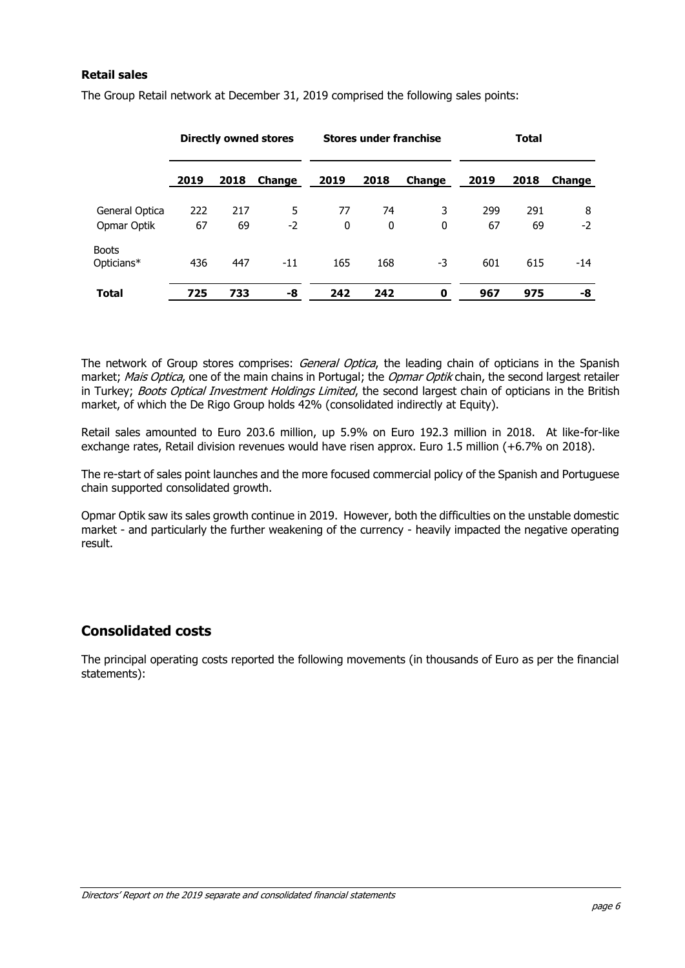#### **Retail sales**

|                            |      |      | <b>Directly owned stores</b> | <b>Stores under franchise</b> |      | <b>Total</b>  |      |      |        |
|----------------------------|------|------|------------------------------|-------------------------------|------|---------------|------|------|--------|
|                            | 2019 | 2018 | Change                       | 2019                          | 2018 | <b>Change</b> | 2019 | 2018 | Change |
| General Optica             | 222  | 217  | 5                            | 77                            | 74   | 3             | 299  | 291  | 8      |
| Opmar Optik                | 67   | 69   | $-2$                         | 0                             | 0    | 0             | 67   | 69   | $-2$   |
| <b>Boots</b><br>Opticians* | 436  | 447  | $-11$                        | 165                           | 168  | -3            | 601  | 615  | $-14$  |
| <b>Total</b>               | 725  | 733  | -8                           | 242                           | 242  | 0             | 967  | 975  | -8     |

The Group Retail network at December 31, 2019 comprised the following sales points:

The network of Group stores comprises: *General Optica*, the leading chain of opticians in the Spanish market; Mais Optica, one of the main chains in Portugal; the Opmar Optik chain, the second largest retailer in Turkey; Boots Optical Investment Holdings Limited, the second largest chain of opticians in the British market, of which the De Rigo Group holds 42% (consolidated indirectly at Equity).

Retail sales amounted to Euro 203.6 million, up 5.9% on Euro 192.3 million in 2018. At like-for-like exchange rates, Retail division revenues would have risen approx. Euro 1.5 million (+6.7% on 2018).

The re-start of sales point launches and the more focused commercial policy of the Spanish and Portuguese chain supported consolidated growth.

Opmar Optik saw its sales growth continue in 2019. However, both the difficulties on the unstable domestic market - and particularly the further weakening of the currency - heavily impacted the negative operating result.

### **Consolidated costs**

The principal operating costs reported the following movements (in thousands of Euro as per the financial statements):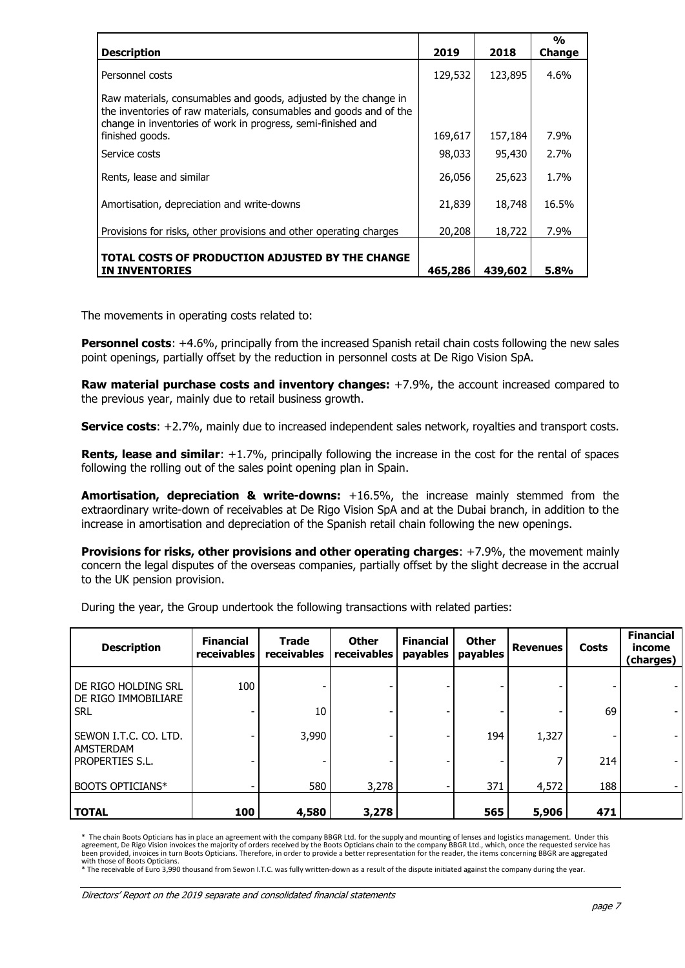| <b>Description</b>                                                                                                                                                                                    | 2019    | 2018    | $\frac{0}{0}$<br>Change |
|-------------------------------------------------------------------------------------------------------------------------------------------------------------------------------------------------------|---------|---------|-------------------------|
| Personnel costs                                                                                                                                                                                       | 129,532 | 123,895 | $4.6\%$                 |
| Raw materials, consumables and goods, adjusted by the change in<br>the inventories of raw materials, consumables and goods and of the<br>change in inventories of work in progress, semi-finished and |         |         |                         |
| finished goods.                                                                                                                                                                                       | 169,617 | 157,184 | 7.9%                    |
| Service costs                                                                                                                                                                                         | 98,033  | 95,430  | 2.7%                    |
| Rents, lease and similar                                                                                                                                                                              | 26,056  | 25,623  | 1.7%                    |
| Amortisation, depreciation and write-downs                                                                                                                                                            | 21,839  | 18,748  | 16.5%                   |
| Provisions for risks, other provisions and other operating charges                                                                                                                                    | 20,208  | 18,722  | 7.9%                    |
| TOTAL COSTS OF PRODUCTION ADJUSTED BY THE CHANGE<br><b>IN INVENTORIES</b>                                                                                                                             | 465,286 | 439,602 | 5.8%                    |

The movements in operating costs related to:

**Personnel costs**: +4.6%, principally from the increased Spanish retail chain costs following the new sales point openings, partially offset by the reduction in personnel costs at De Rigo Vision SpA.

**Raw material purchase costs and inventory changes:** +7.9%, the account increased compared to the previous year, mainly due to retail business growth.

**Service costs**: +2.7%, mainly due to increased independent sales network, royalties and transport costs.

**Rents, lease and similar**: +1.7%, principally following the increase in the cost for the rental of spaces following the rolling out of the sales point opening plan in Spain.

**Amortisation, depreciation & write-downs:** +16.5%, the increase mainly stemmed from the extraordinary write-down of receivables at De Rigo Vision SpA and at the Dubai branch, in addition to the increase in amortisation and depreciation of the Spanish retail chain following the new openings.

**Provisions for risks, other provisions and other operating charges:** +7.9%, the movement mainly concern the legal disputes of the overseas companies, partially offset by the slight decrease in the accrual to the UK pension provision.

During the year, the Group undertook the following transactions with related parties:

| <b>Description</b>                         | <b>Financial</b><br>receivables | <b>Trade</b><br>receivables | <b>Other</b><br>receivables | <b>Financial</b><br>payables | <b>Other</b><br>payables | <b>Revenues</b> | <b>Costs</b> | <b>Financial</b><br>income<br>(charges) |
|--------------------------------------------|---------------------------------|-----------------------------|-----------------------------|------------------------------|--------------------------|-----------------|--------------|-----------------------------------------|
| DE RIGO HOLDING SRL<br>DE RIGO IMMOBILIARE | 100                             |                             |                             |                              |                          |                 |              |                                         |
| <b>SRL</b>                                 |                                 | 10                          |                             |                              |                          |                 | 69           | $\overline{\phantom{a}}$                |
| SEWON I.T.C. CO. LTD.<br>AMSTERDAM         |                                 | 3,990                       |                             |                              | 194                      | 1,327           |              |                                         |
| PROPERTIES S.L.                            |                                 |                             |                             |                              |                          |                 | 214          |                                         |
| <b>BOOTS OPTICIANS*</b>                    |                                 | 580                         | 3,278                       |                              | 371                      | 4,572           | 188          |                                         |
| <b>TOTAL</b>                               | 100                             | 4,580                       | 3,278                       |                              | 565                      | 5,906           | 471          |                                         |

\* The chain Boots Opticians has in place an agreement with the company BBGR Ltd. for the supply and mounting of lenses and logistics management. Under this agreement, De Rigo Vision invoices the majority of orders received by the Boots Opticians chain to the company BBGR Ltd., which, once the requested service has<br>been provided, invoices in turn Boots Opticians. Therefore, in

with those of Boots Opticians.<br>\* The receivable of Euro 3,990 thousand from Sewon I.T.C. was fully written-down as a result of the dispute initiated against the company during the year.

Directors' Report on the 2019 separate and consolidated financial statements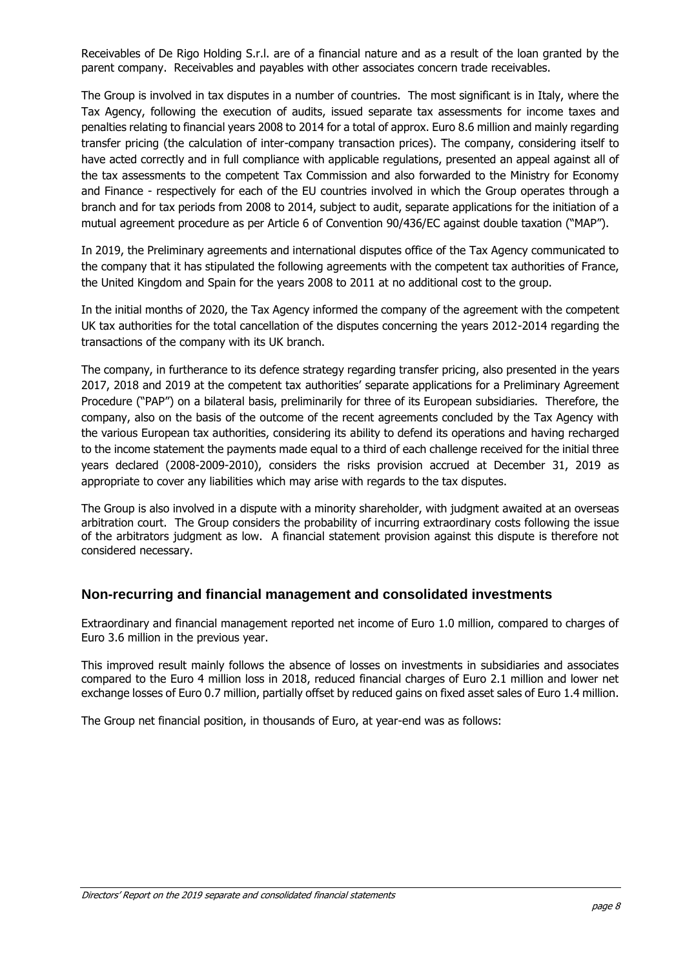Receivables of De Rigo Holding S.r.l. are of a financial nature and as a result of the loan granted by the parent company. Receivables and payables with other associates concern trade receivables.

The Group is involved in tax disputes in a number of countries. The most significant is in Italy, where the Tax Agency, following the execution of audits, issued separate tax assessments for income taxes and penalties relating to financial years 2008 to 2014 for a total of approx. Euro 8.6 million and mainly regarding transfer pricing (the calculation of inter-company transaction prices). The company, considering itself to have acted correctly and in full compliance with applicable regulations, presented an appeal against all of the tax assessments to the competent Tax Commission and also forwarded to the Ministry for Economy and Finance - respectively for each of the EU countries involved in which the Group operates through a branch and for tax periods from 2008 to 2014, subject to audit, separate applications for the initiation of a mutual agreement procedure as per Article 6 of Convention 90/436/EC against double taxation ("MAP").

In 2019, the Preliminary agreements and international disputes office of the Tax Agency communicated to the company that it has stipulated the following agreements with the competent tax authorities of France, the United Kingdom and Spain for the years 2008 to 2011 at no additional cost to the group.

In the initial months of 2020, the Tax Agency informed the company of the agreement with the competent UK tax authorities for the total cancellation of the disputes concerning the years 2012-2014 regarding the transactions of the company with its UK branch.

The company, in furtherance to its defence strategy regarding transfer pricing, also presented in the years 2017, 2018 and 2019 at the competent tax authorities' separate applications for a Preliminary Agreement Procedure ("PAP") on a bilateral basis, preliminarily for three of its European subsidiaries. Therefore, the company, also on the basis of the outcome of the recent agreements concluded by the Tax Agency with the various European tax authorities, considering its ability to defend its operations and having recharged to the income statement the payments made equal to a third of each challenge received for the initial three years declared (2008-2009-2010), considers the risks provision accrued at December 31, 2019 as appropriate to cover any liabilities which may arise with regards to the tax disputes.

The Group is also involved in a dispute with a minority shareholder, with judgment awaited at an overseas arbitration court. The Group considers the probability of incurring extraordinary costs following the issue of the arbitrators judgment as low. A financial statement provision against this dispute is therefore not considered necessary.

### **Non-recurring and financial management and consolidated investments**

Extraordinary and financial management reported net income of Euro 1.0 million, compared to charges of Euro 3.6 million in the previous year.

This improved result mainly follows the absence of losses on investments in subsidiaries and associates compared to the Euro 4 million loss in 2018, reduced financial charges of Euro 2.1 million and lower net exchange losses of Euro 0.7 million, partially offset by reduced gains on fixed asset sales of Euro 1.4 million.

The Group net financial position, in thousands of Euro, at year-end was as follows: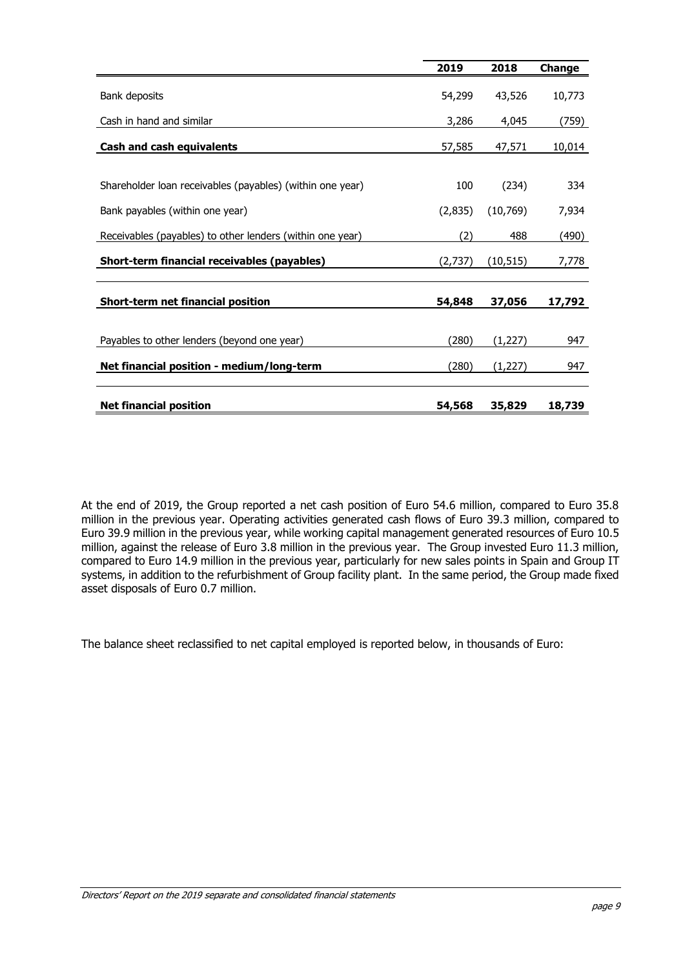|                                                           | 2019    | 2018      | Change |
|-----------------------------------------------------------|---------|-----------|--------|
| Bank deposits                                             | 54,299  | 43,526    | 10,773 |
| Cash in hand and similar                                  | 3,286   | 4,045     | (759)  |
| Cash and cash equivalents                                 | 57,585  | 47,571    | 10,014 |
|                                                           |         |           |        |
| Shareholder loan receivables (payables) (within one year) | 100     | (234)     | 334    |
| Bank payables (within one year)                           | (2,835) | (10,769)  | 7,934  |
| Receivables (payables) to other lenders (within one year) | (2)     | 488       | (490)  |
| Short-term financial receivables (payables)               | (2,737) | (10, 515) | 7,778  |
| Short-term net financial position                         | 54,848  | 37,056    | 17,792 |
|                                                           |         |           |        |
| Payables to other lenders (beyond one year)               | (280)   | (1,227)   | 947    |
| Net financial position - medium/long-term                 | (280)   | (1,227)   | 947    |
| <b>Net financial position</b>                             | 54,568  | 35,829    | 18,739 |

At the end of 2019, the Group reported a net cash position of Euro 54.6 million, compared to Euro 35.8 million in the previous year. Operating activities generated cash flows of Euro 39.3 million, compared to Euro 39.9 million in the previous year, while working capital management generated resources of Euro 10.5 million, against the release of Euro 3.8 million in the previous year. The Group invested Euro 11.3 million, compared to Euro 14.9 million in the previous year, particularly for new sales points in Spain and Group IT systems, in addition to the refurbishment of Group facility plant. In the same period, the Group made fixed asset disposals of Euro 0.7 million.

The balance sheet reclassified to net capital employed is reported below, in thousands of Euro: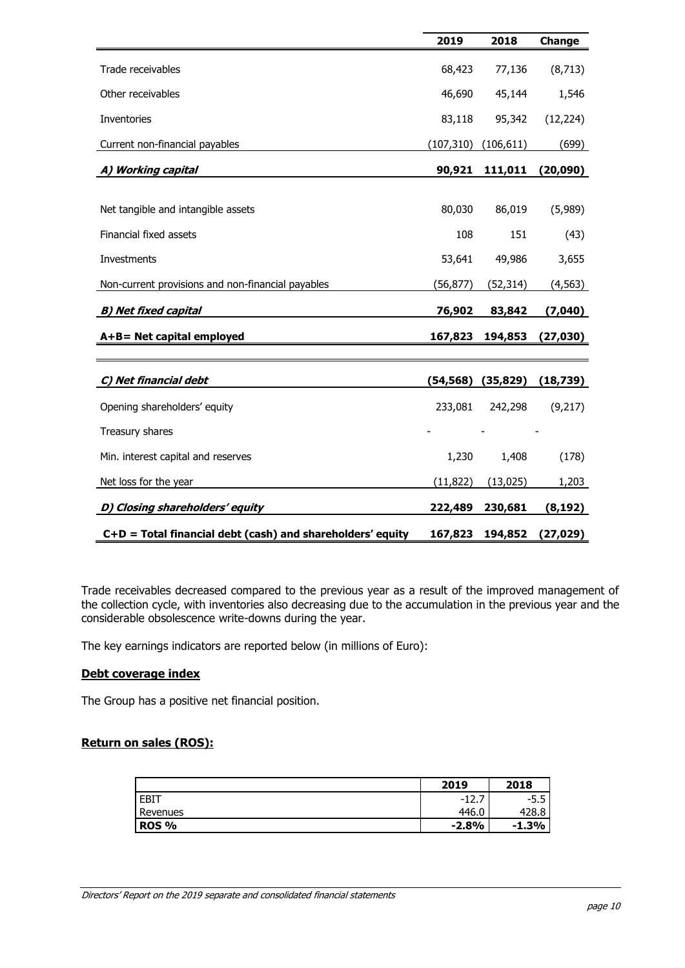|                                                            | 2019       | 2018       | Change    |
|------------------------------------------------------------|------------|------------|-----------|
| Trade receivables                                          | 68,423     | 77,136     | (8, 713)  |
| Other receivables                                          | 46,690     | 45,144     | 1,546     |
| Inventories                                                | 83,118     | 95,342     | (12, 224) |
| Current non-financial payables                             | (107, 310) | (106, 611) | (699)     |
| A) Working capital                                         | 90,921     | 111,011    | (20,090)  |
|                                                            |            |            |           |
| Net tangible and intangible assets                         | 80,030     | 86,019     | (5,989)   |
| Financial fixed assets                                     | 108        | 151        | (43)      |
| Investments                                                | 53,641     | 49,986     | 3,655     |
| Non-current provisions and non-financial payables          | (56, 877)  | (52, 314)  | (4, 563)  |
| <b>B) Net fixed capital</b>                                | 76,902     | 83,842     | (7,040)   |
| A+B= Net capital employed                                  | 167,823    | 194,853    | (27,030)  |
|                                                            |            |            |           |
| C) Net financial debt                                      | (54, 568)  | (35, 829)  | (18, 739) |
| Opening shareholders' equity                               | 233,081    | 242,298    | (9,217)   |
| Treasury shares                                            |            |            |           |
| Min. interest capital and reserves                         | 1,230      | 1,408      | (178)     |
| Net loss for the year                                      | (11, 822)  | (13, 025)  | 1,203     |
| D) Closing shareholders' equity                            | 222,489    | 230,681    | (8, 192)  |
| C+D = Total financial debt (cash) and shareholders' equity | 167,823    | 194,852    | (27, 029) |

Trade receivables decreased compared to the previous year as a result of the improved management of the collection cycle, with inventories also decreasing due to the accumulation in the previous year and the considerable obsolescence write-downs during the year.

The key earnings indicators are reported below (in millions of Euro):

#### **Debt coverage index**

The Group has a positive net financial position.

#### **Return on sales (ROS):**

|              | 2019                | 2018      |
|--------------|---------------------|-----------|
| EBIT         | 1.<br>- 1<br>$\sim$ | -<br>-ລ.ວ |
| Revenues     | 446.0               | 428.১     |
| <b>ROS %</b> | $-2.8%$             | $-1.3%$   |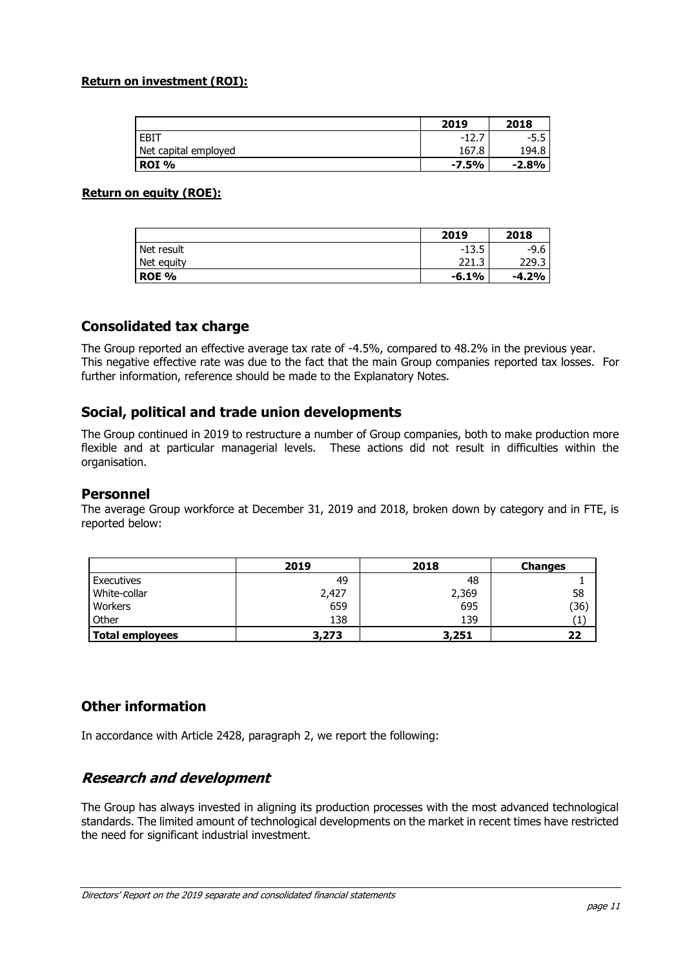#### **Return on investment (ROI):**

|                      | 2019         | 2018    |
|----------------------|--------------|---------|
| <b>EBIT</b>          | - 1 ລ<br>- 1 | $-5.5$  |
| Net capital employed | 167.8        | 194.8   |
| ROI %                | $-7.5%$      | $-2.8%$ |

#### **Return on equity (ROE):**

|              | 2019    | 2018    |
|--------------|---------|---------|
| Net result   | $-13.5$ | -9.6    |
| Net equity   | 221.3   | 229.3   |
| <b>ROE %</b> | $-6.1%$ | $-4.2%$ |

### **Consolidated tax charge**

The Group reported an effective average tax rate of -4.5%, compared to 48.2% in the previous year. This negative effective rate was due to the fact that the main Group companies reported tax losses. For further information, reference should be made to the Explanatory Notes.

### **Social, political and trade union developments**

The Group continued in 2019 to restructure a number of Group companies, both to make production more flexible and at particular managerial levels. These actions did not result in difficulties within the organisation.

#### **Personnel**

The average Group workforce at December 31, 2019 and 2018, broken down by category and in FTE, is reported below:

|                 | 2019  | 2018  | <b>Changes</b> |
|-----------------|-------|-------|----------------|
| Executives      | 49    | 48    |                |
| White-collar    | 2,427 | 2,369 | 58             |
| Workers         | 659   | 695   | (36)           |
| Other           | 138   | 139   |                |
| Total employees | 3,273 | 3,251 | 22             |

## **Other information**

In accordance with Article 2428, paragraph 2, we report the following:

## **Research and development**

The Group has always invested in aligning its production processes with the most advanced technological standards. The limited amount of technological developments on the market in recent times have restricted the need for significant industrial investment.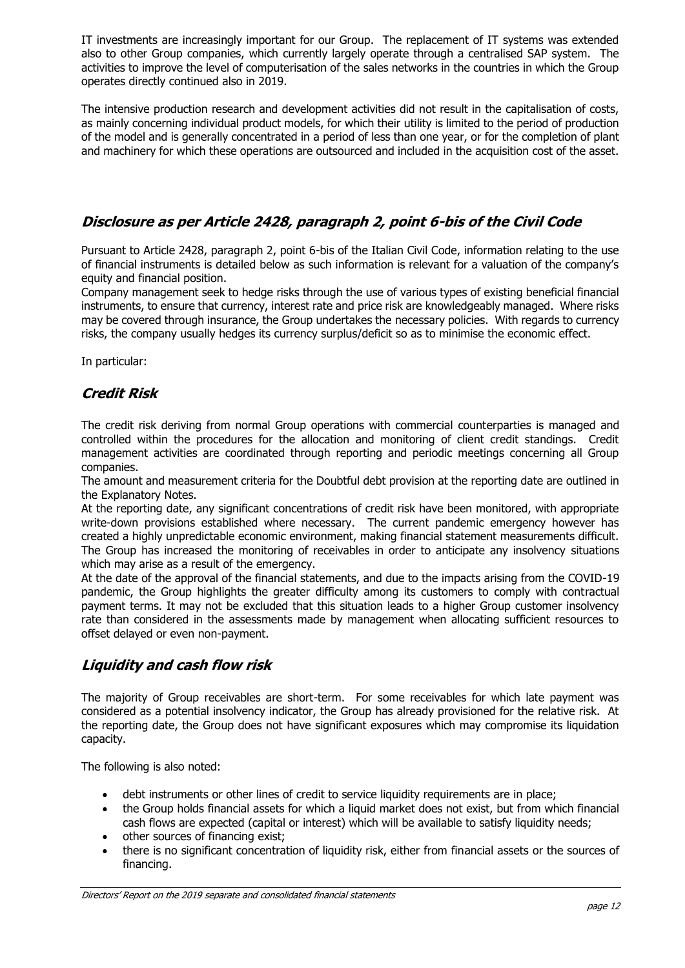IT investments are increasingly important for our Group. The replacement of IT systems was extended also to other Group companies, which currently largely operate through a centralised SAP system. The activities to improve the level of computerisation of the sales networks in the countries in which the Group operates directly continued also in 2019.

The intensive production research and development activities did not result in the capitalisation of costs, as mainly concerning individual product models, for which their utility is limited to the period of production of the model and is generally concentrated in a period of less than one year, or for the completion of plant and machinery for which these operations are outsourced and included in the acquisition cost of the asset.

## **Disclosure as per Article 2428, paragraph 2, point 6-bis of the Civil Code**

Pursuant to Article 2428, paragraph 2, point 6-bis of the Italian Civil Code, information relating to the use of financial instruments is detailed below as such information is relevant for a valuation of the company's equity and financial position.

Company management seek to hedge risks through the use of various types of existing beneficial financial instruments, to ensure that currency, interest rate and price risk are knowledgeably managed. Where risks may be covered through insurance, the Group undertakes the necessary policies. With regards to currency risks, the company usually hedges its currency surplus/deficit so as to minimise the economic effect.

In particular:

## **Credit Risk**

The credit risk deriving from normal Group operations with commercial counterparties is managed and controlled within the procedures for the allocation and monitoring of client credit standings. Credit management activities are coordinated through reporting and periodic meetings concerning all Group companies.

The amount and measurement criteria for the Doubtful debt provision at the reporting date are outlined in the Explanatory Notes.

At the reporting date, any significant concentrations of credit risk have been monitored, with appropriate write-down provisions established where necessary. The current pandemic emergency however has created a highly unpredictable economic environment, making financial statement measurements difficult. The Group has increased the monitoring of receivables in order to anticipate any insolvency situations which may arise as a result of the emergency.

At the date of the approval of the financial statements, and due to the impacts arising from the COVID-19 pandemic, the Group highlights the greater difficulty among its customers to comply with contractual payment terms. It may not be excluded that this situation leads to a higher Group customer insolvency rate than considered in the assessments made by management when allocating sufficient resources to offset delayed or even non-payment.

## **Liquidity and cash flow risk**

The majority of Group receivables are short-term. For some receivables for which late payment was considered as a potential insolvency indicator, the Group has already provisioned for the relative risk. At the reporting date, the Group does not have significant exposures which may compromise its liquidation capacity.

The following is also noted:

- debt instruments or other lines of credit to service liquidity requirements are in place;
- the Group holds financial assets for which a liquid market does not exist, but from which financial cash flows are expected (capital or interest) which will be available to satisfy liquidity needs;
- other sources of financing exist;
- there is no significant concentration of liquidity risk, either from financial assets or the sources of financing.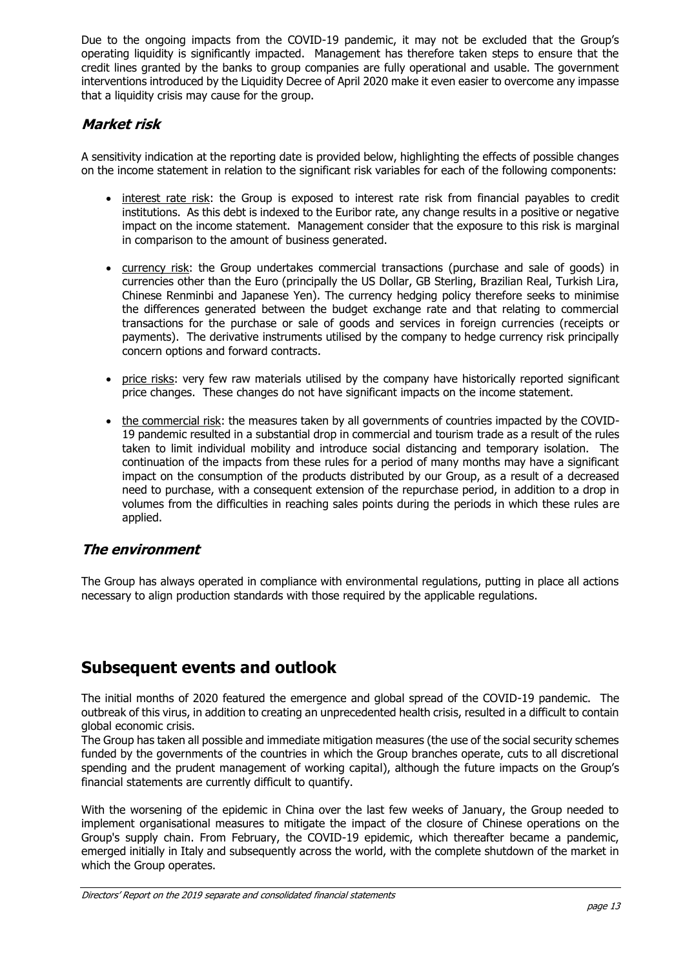Due to the ongoing impacts from the COVID-19 pandemic, it may not be excluded that the Group's operating liquidity is significantly impacted. Management has therefore taken steps to ensure that the credit lines granted by the banks to group companies are fully operational and usable. The government interventions introduced by the Liquidity Decree of April 2020 make it even easier to overcome any impasse that a liquidity crisis may cause for the group.

## **Market risk**

A sensitivity indication at the reporting date is provided below, highlighting the effects of possible changes on the income statement in relation to the significant risk variables for each of the following components:

- interest rate risk: the Group is exposed to interest rate risk from financial payables to credit institutions. As this debt is indexed to the Euribor rate, any change results in a positive or negative impact on the income statement. Management consider that the exposure to this risk is marginal in comparison to the amount of business generated.
- currency risk: the Group undertakes commercial transactions (purchase and sale of goods) in currencies other than the Euro (principally the US Dollar, GB Sterling, Brazilian Real, Turkish Lira, Chinese Renminbi and Japanese Yen). The currency hedging policy therefore seeks to minimise the differences generated between the budget exchange rate and that relating to commercial transactions for the purchase or sale of goods and services in foreign currencies (receipts or payments). The derivative instruments utilised by the company to hedge currency risk principally concern options and forward contracts.
- price risks: very few raw materials utilised by the company have historically reported significant price changes. These changes do not have significant impacts on the income statement.
- the commercial risk: the measures taken by all governments of countries impacted by the COVID-19 pandemic resulted in a substantial drop in commercial and tourism trade as a result of the rules taken to limit individual mobility and introduce social distancing and temporary isolation. The continuation of the impacts from these rules for a period of many months may have a significant impact on the consumption of the products distributed by our Group, as a result of a decreased need to purchase, with a consequent extension of the repurchase period, in addition to a drop in volumes from the difficulties in reaching sales points during the periods in which these rules are applied.

## **The environment**

The Group has always operated in compliance with environmental regulations, putting in place all actions necessary to align production standards with those required by the applicable regulations.

# **Subsequent events and outlook**

The initial months of 2020 featured the emergence and global spread of the COVID-19 pandemic. The outbreak of this virus, in addition to creating an unprecedented health crisis, resulted in a difficult to contain global economic crisis.

The Group has taken all possible and immediate mitigation measures (the use of the social security schemes funded by the governments of the countries in which the Group branches operate, cuts to all discretional spending and the prudent management of working capital), although the future impacts on the Group's financial statements are currently difficult to quantify.

With the worsening of the epidemic in China over the last few weeks of January, the Group needed to implement organisational measures to mitigate the impact of the closure of Chinese operations on the Group's supply chain. From February, the COVID-19 epidemic, which thereafter became a pandemic, emerged initially in Italy and subsequently across the world, with the complete shutdown of the market in which the Group operates.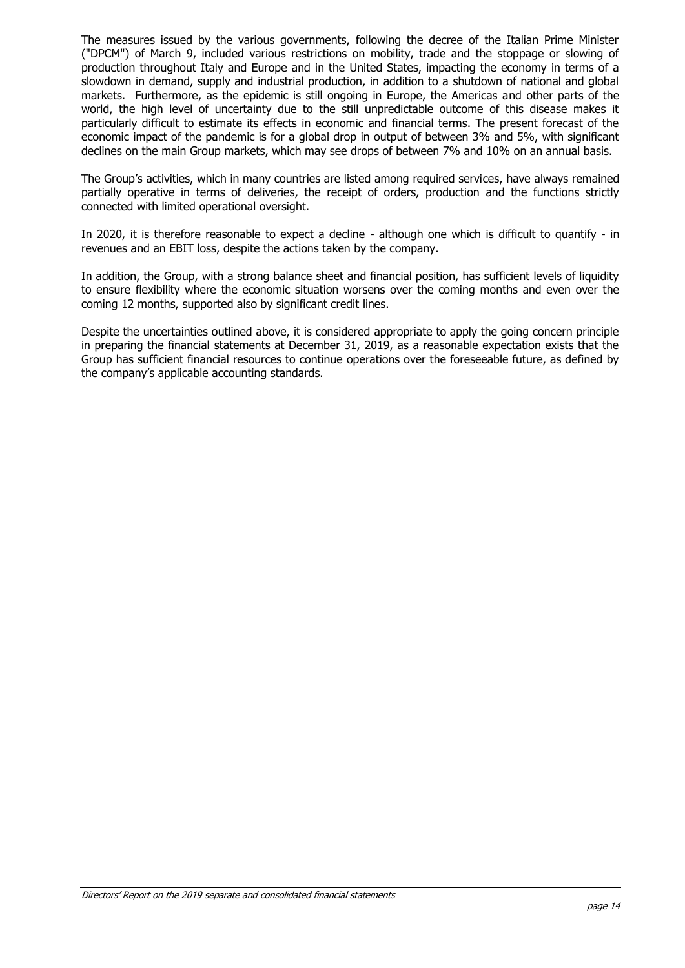The measures issued by the various governments, following the decree of the Italian Prime Minister ("DPCM") of March 9, included various restrictions on mobility, trade and the stoppage or slowing of production throughout Italy and Europe and in the United States, impacting the economy in terms of a slowdown in demand, supply and industrial production, in addition to a shutdown of national and global markets. Furthermore, as the epidemic is still ongoing in Europe, the Americas and other parts of the world, the high level of uncertainty due to the still unpredictable outcome of this disease makes it particularly difficult to estimate its effects in economic and financial terms. The present forecast of the economic impact of the pandemic is for a global drop in output of between 3% and 5%, with significant declines on the main Group markets, which may see drops of between 7% and 10% on an annual basis.

The Group's activities, which in many countries are listed among required services, have always remained partially operative in terms of deliveries, the receipt of orders, production and the functions strictly connected with limited operational oversight.

In 2020, it is therefore reasonable to expect a decline - although one which is difficult to quantify - in revenues and an EBIT loss, despite the actions taken by the company.

In addition, the Group, with a strong balance sheet and financial position, has sufficient levels of liquidity to ensure flexibility where the economic situation worsens over the coming months and even over the coming 12 months, supported also by significant credit lines.

Despite the uncertainties outlined above, it is considered appropriate to apply the going concern principle in preparing the financial statements at December 31, 2019, as a reasonable expectation exists that the Group has sufficient financial resources to continue operations over the foreseeable future, as defined by the company's applicable accounting standards.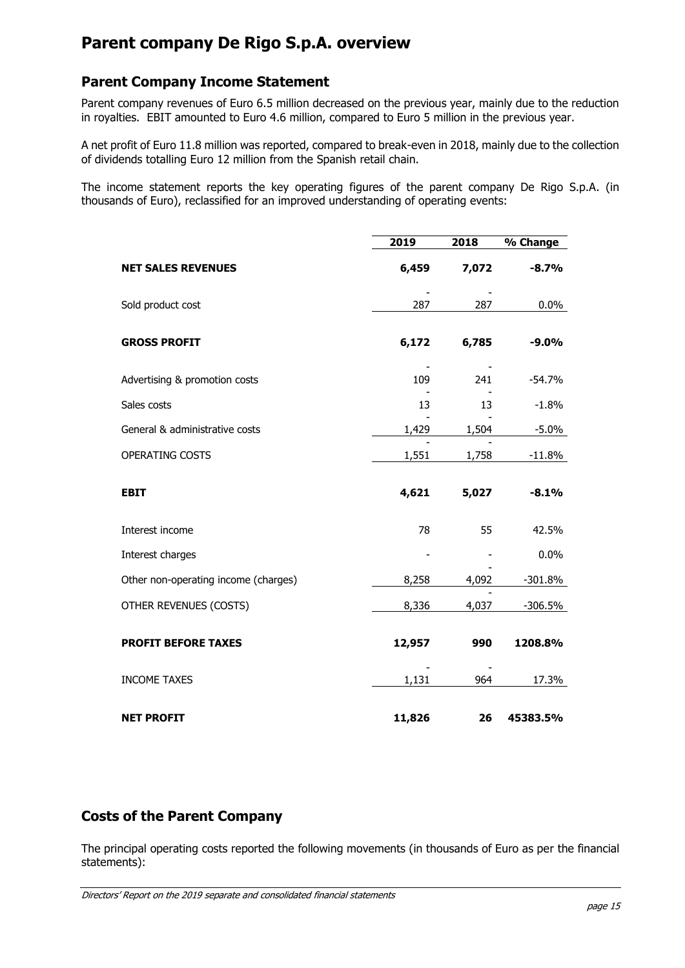# **Parent company De Rigo S.p.A. overview**

## **Parent Company Income Statement**

Parent company revenues of Euro 6.5 million decreased on the previous year, mainly due to the reduction in royalties. EBIT amounted to Euro 4.6 million, compared to Euro 5 million in the previous year.

A net profit of Euro 11.8 million was reported, compared to break-even in 2018, mainly due to the collection of dividends totalling Euro 12 million from the Spanish retail chain.

The income statement reports the key operating figures of the parent company De Rigo S.p.A. (in thousands of Euro), reclassified for an improved understanding of operating events:

|                                      | 2019   | 2018  | % Change  |
|--------------------------------------|--------|-------|-----------|
| <b>NET SALES REVENUES</b>            | 6,459  | 7,072 | $-8.7%$   |
| Sold product cost                    | 287    | 287   | $0.0\%$   |
| <b>GROSS PROFIT</b>                  | 6,172  | 6,785 | $-9.0%$   |
| Advertising & promotion costs        | 109    | 241   | $-54.7%$  |
| Sales costs                          | 13     | 13    | $-1.8%$   |
| General & administrative costs       | 1,429  | 1,504 | $-5.0\%$  |
| OPERATING COSTS                      | 1,551  | 1,758 | $-11.8%$  |
| <b>EBIT</b>                          | 4,621  | 5,027 | $-8.1%$   |
| Interest income                      | 78     | 55    | 42.5%     |
| Interest charges                     |        |       | 0.0%      |
| Other non-operating income (charges) | 8,258  | 4,092 | $-301.8%$ |
| OTHER REVENUES (COSTS)               | 8,336  | 4,037 | $-306.5%$ |
| <b>PROFIT BEFORE TAXES</b>           | 12,957 | 990   | 1208.8%   |
| <b>INCOME TAXES</b>                  | 1,131  | 964   | 17.3%     |
| <b>NET PROFIT</b>                    | 11,826 | 26    | 45383.5%  |

## **Costs of the Parent Company**

The principal operating costs reported the following movements (in thousands of Euro as per the financial statements):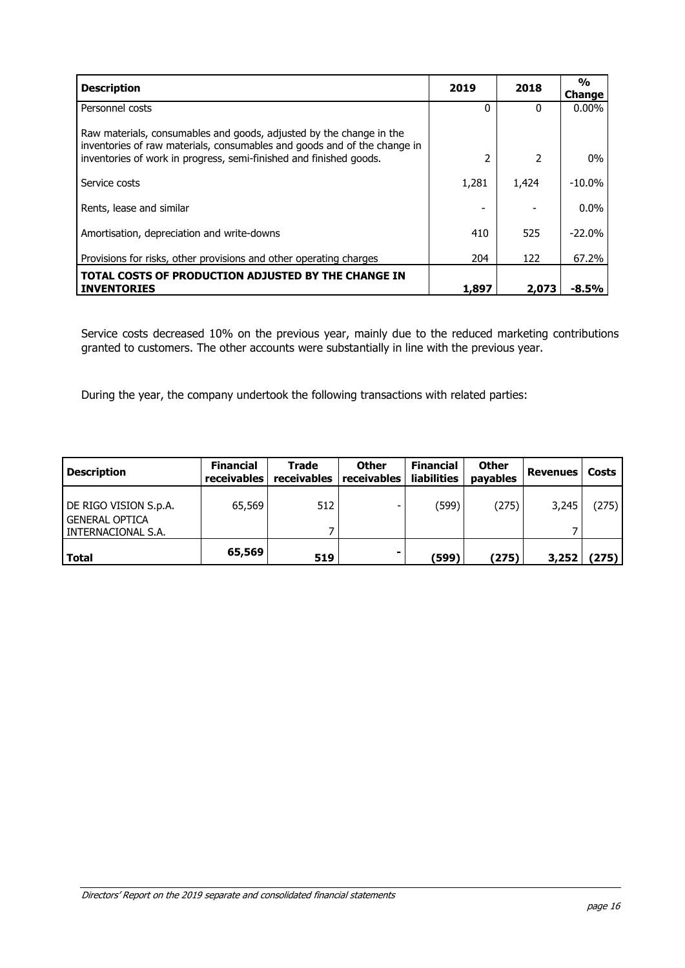| <b>Description</b>                                                                                                                                                                                                    | 2019     | 2018          | $\frac{0}{0}$<br>Change |
|-----------------------------------------------------------------------------------------------------------------------------------------------------------------------------------------------------------------------|----------|---------------|-------------------------|
| Personnel costs                                                                                                                                                                                                       | $\Omega$ | <sup>0</sup>  | $0.00\%$                |
| Raw materials, consumables and goods, adjusted by the change in the<br>inventories of raw materials, consumables and goods and of the change in<br>inventories of work in progress, semi-finished and finished goods. |          | $\mathcal{P}$ | $0\%$                   |
| Service costs                                                                                                                                                                                                         | 1,281    | 1,424         | $-10.0\%$               |
| Rents, lease and similar                                                                                                                                                                                              |          |               | $0.0\%$                 |
| Amortisation, depreciation and write-downs                                                                                                                                                                            | 410      | 525           | $-22.0%$                |
| Provisions for risks, other provisions and other operating charges                                                                                                                                                    | 204      | 122           | 67.2%                   |
| TOTAL COSTS OF PRODUCTION ADJUSTED BY THE CHANGE IN<br><b>INVENTORIES</b>                                                                                                                                             | 1,897    | 2,073         | $-8.5\%$                |

Service costs decreased 10% on the previous year, mainly due to the reduced marketing contributions granted to customers. The other accounts were substantially in line with the previous year.

During the year, the company undertook the following transactions with related parties:

| <b>Description</b>                                                | <b>Financial</b><br><b>receivables</b> | <b>Trade</b><br><b>receivables</b> | <b>Other</b><br>receivables | <b>Financial</b><br><b>liabilities</b> | <b>Other</b><br>payables | <b>Revenues</b> | <b>Costs</b> |
|-------------------------------------------------------------------|----------------------------------------|------------------------------------|-----------------------------|----------------------------------------|--------------------------|-----------------|--------------|
| DE RIGO VISION S.p.A.<br>I GENERAL OPTICA<br>I INTERNACIONAL S.A. | 65,569                                 | 512                                |                             | (599)                                  | (275)                    | 3,245           | (275)        |
| l Total                                                           | 65,569                                 | 519                                |                             | (599)                                  | (275)                    | 3,252           | (275)        |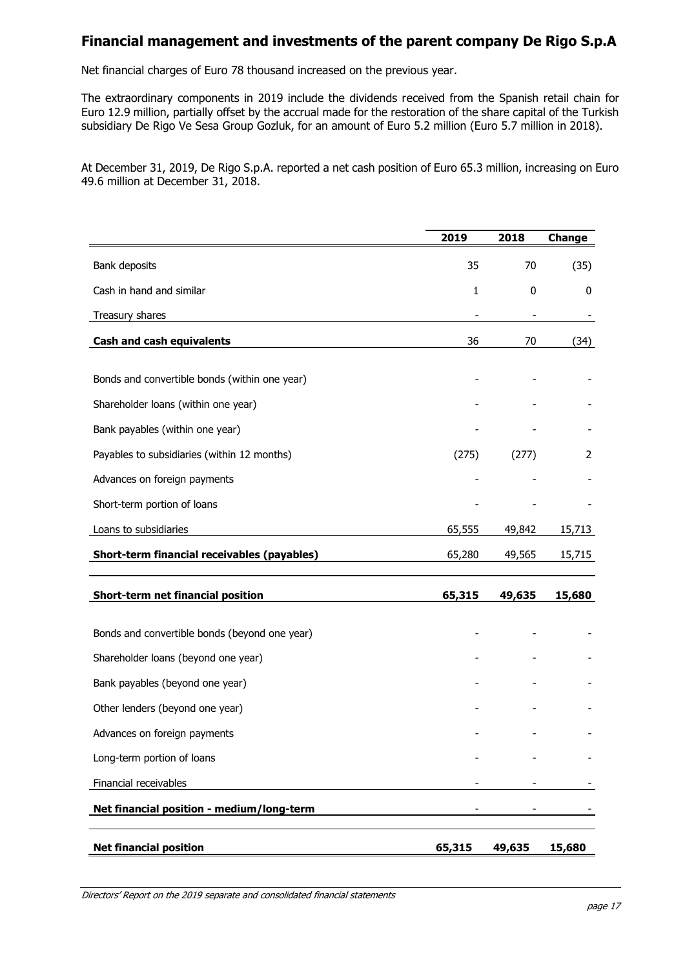### **Financial management and investments of the parent company De Rigo S.p.A**

Net financial charges of Euro 78 thousand increased on the previous year.

The extraordinary components in 2019 include the dividends received from the Spanish retail chain for Euro 12.9 million, partially offset by the accrual made for the restoration of the share capital of the Turkish subsidiary De Rigo Ve Sesa Group Gozluk, for an amount of Euro 5.2 million (Euro 5.7 million in 2018).

At December 31, 2019, De Rigo S.p.A. reported a net cash position of Euro 65.3 million, increasing on Euro 49.6 million at December 31, 2018.

|                                               | 2019   | 2018                     | Change |
|-----------------------------------------------|--------|--------------------------|--------|
| Bank deposits                                 | 35     | 70                       | (35)   |
| Cash in hand and similar                      | 1      | 0                        | 0      |
| Treasury shares                               |        | $\overline{\phantom{a}}$ |        |
| <b>Cash and cash equivalents</b>              | 36     | 70                       | (34)   |
|                                               |        |                          |        |
| Bonds and convertible bonds (within one year) |        |                          |        |
| Shareholder loans (within one year)           |        |                          |        |
| Bank payables (within one year)               |        |                          |        |
| Payables to subsidiaries (within 12 months)   | (275)  | (277)                    | 2      |
| Advances on foreign payments                  |        |                          |        |
| Short-term portion of loans                   |        |                          |        |
| Loans to subsidiaries                         | 65,555 | 49,842                   | 15,713 |
| Short-term financial receivables (payables)   | 65,280 | 49,565                   | 15,715 |
| <b>Short-term net financial position</b>      | 65,315 | 49,635                   | 15,680 |
| Bonds and convertible bonds (beyond one year) |        |                          |        |
| Shareholder loans (beyond one year)           |        |                          |        |
| Bank payables (beyond one year)               |        |                          |        |
| Other lenders (beyond one year)               |        |                          |        |
| Advances on foreign payments                  |        |                          |        |
| Long-term portion of loans                    |        |                          |        |
| Financial receivables                         |        |                          |        |
| Net financial position - medium/long-term     |        |                          |        |
| <b>Net financial position</b>                 | 65,315 | 49,635                   | 15,680 |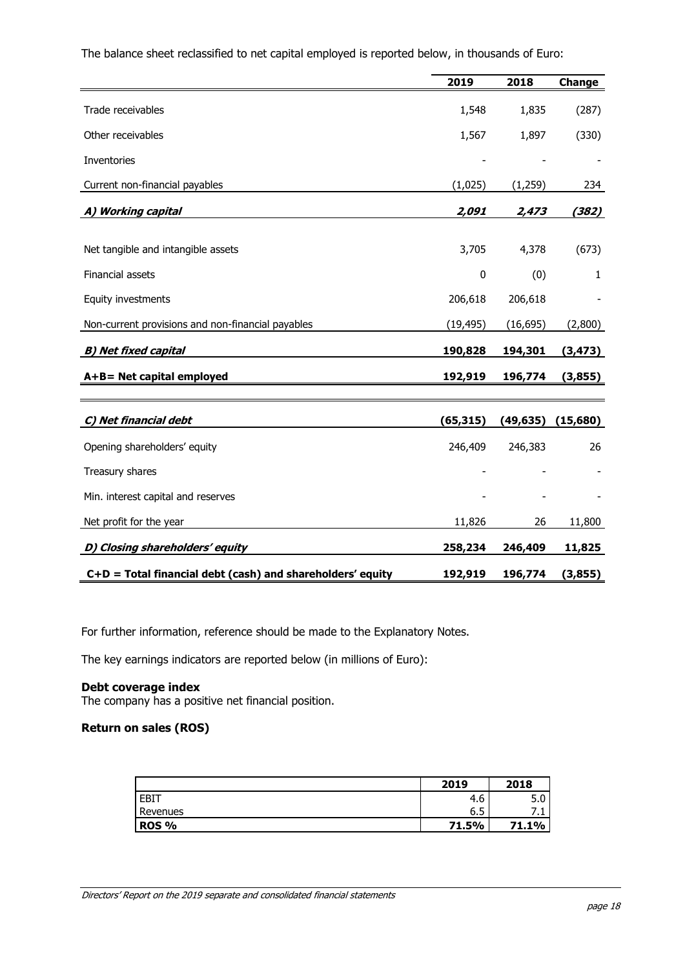|                                                            | 2019      | 2018      | Change   |
|------------------------------------------------------------|-----------|-----------|----------|
| Trade receivables                                          | 1,548     | 1,835     | (287)    |
| Other receivables                                          | 1,567     | 1,897     | (330)    |
| Inventories                                                |           |           |          |
| Current non-financial payables                             | (1,025)   | (1, 259)  | 234      |
| A) Working capital                                         | 2,091     | 2,473     | (382)    |
| Net tangible and intangible assets                         | 3,705     | 4,378     | (673)    |
| Financial assets                                           | 0         | (0)       | 1        |
| Equity investments                                         | 206,618   | 206,618   |          |
| Non-current provisions and non-financial payables          | (19, 495) | (16, 695) | (2,800)  |
| <b>B) Net fixed capital</b>                                | 190,828   | 194,301   | (3, 473) |
| A+B= Net capital employed                                  | 192,919   | 196,774   | (3,855)  |
|                                                            |           |           |          |
| C) Net financial debt                                      | (65, 315) | (49, 635) | (15,680) |
| Opening shareholders' equity                               | 246,409   | 246,383   | 26       |
| Treasury shares                                            |           |           |          |
| Min. interest capital and reserves                         |           |           |          |
| Net profit for the year                                    | 11,826    | 26        | 11,800   |
| D) Closing shareholders' equity                            | 258,234   | 246,409   | 11,825   |
| C+D = Total financial debt (cash) and shareholders' equity | 192,919   | 196,774   | (3,855)  |

The balance sheet reclassified to net capital employed is reported below, in thousands of Euro:

For further information, reference should be made to the Explanatory Notes.

The key earnings indicators are reported below (in millions of Euro):

#### **Debt coverage index**

The company has a positive net financial position.

### **Return on sales (ROS)**

|              | 2019     | 2018     |
|--------------|----------|----------|
| <b>EBIT</b>  | 4.6      | -<br>J.U |
| Revenues     | -<br>6.5 | .        |
| <b>ROS %</b> | 71.5%    | 71.1%    |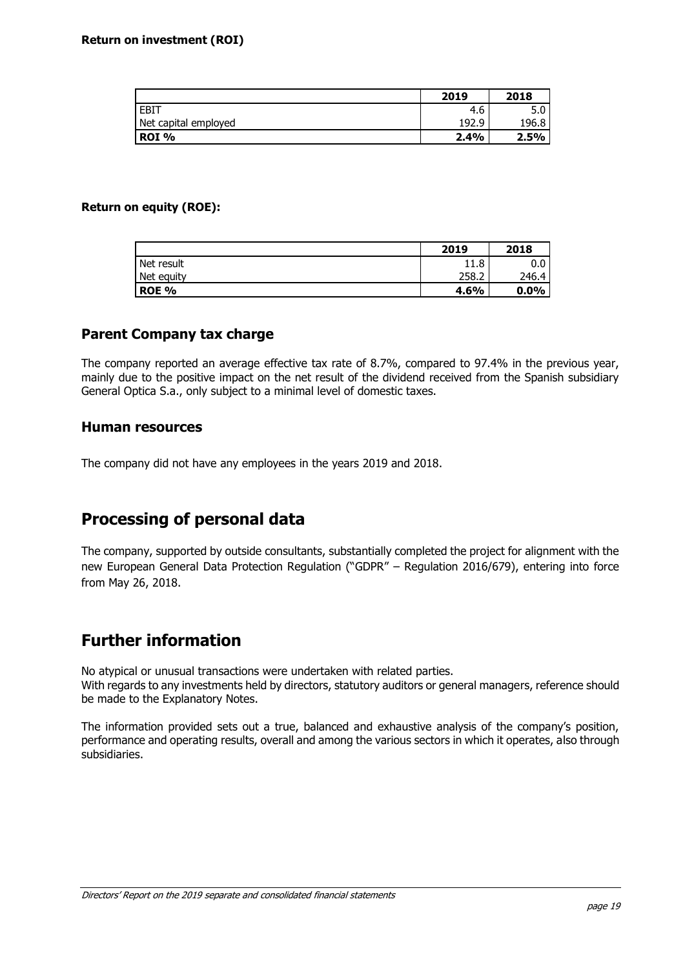|                      | 2019  | 2018  |
|----------------------|-------|-------|
| <b>EBIT</b>          | 4.6   | 5.0   |
| Net capital employed | 192.9 | 196.8 |
| ROI %                | 2.4%  | 2.5%  |

#### **Return on equity (ROE):**

|              | 2019  | 2018    |
|--------------|-------|---------|
| Net result   | 11.8  | 0.0     |
| Net equity   | 258.2 | 246.4   |
| <b>ROE %</b> | 4.6%  | $0.0\%$ |

#### **Parent Company tax charge**

The company reported an average effective tax rate of 8.7%, compared to 97.4% in the previous year, mainly due to the positive impact on the net result of the dividend received from the Spanish subsidiary General Optica S.a., only subject to a minimal level of domestic taxes.

#### **Human resources**

The company did not have any employees in the years 2019 and 2018.

# **Processing of personal data**

The company, supported by outside consultants, substantially completed the project for alignment with the new European General Data Protection Regulation ("GDPR" – Regulation 2016/679), entering into force from May 26, 2018.

# **Further information**

No atypical or unusual transactions were undertaken with related parties. With regards to any investments held by directors, statutory auditors or general managers, reference should be made to the Explanatory Notes.

The information provided sets out a true, balanced and exhaustive analysis of the company's position, performance and operating results, overall and among the various sectors in which it operates, also through subsidiaries.